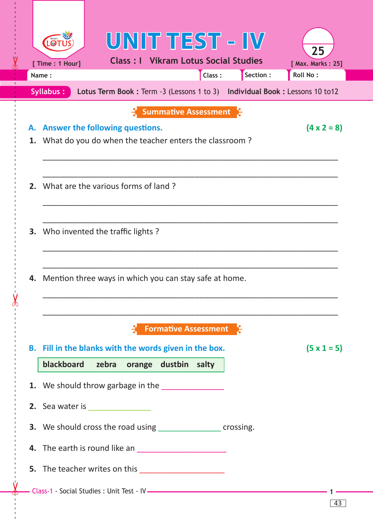|                                                                                          |                                                                       | UNIT TEST - IV                              |                             |  |  |                         |  |  |  |  |  |
|------------------------------------------------------------------------------------------|-----------------------------------------------------------------------|---------------------------------------------|-----------------------------|--|--|-------------------------|--|--|--|--|--|
|                                                                                          | [ Time : 1 Hour]                                                      | <b>Class: I</b> Vikram Lotus Social Studies |                             |  |  | 25<br>[ Max. Marks: 25] |  |  |  |  |  |
|                                                                                          | Section:<br>Class:<br><b>Roll No:</b><br>Name:                        |                                             |                             |  |  |                         |  |  |  |  |  |
| Lotus Term Book: Term -3 (Lessons 1 to 3) Individual Book: Lessons 10 to 12<br>Syllabus: |                                                                       |                                             |                             |  |  |                         |  |  |  |  |  |
| А.                                                                                       | <b>Answer the following questions.</b>                                |                                             | <b>Summative Assessment</b> |  |  | $(4 \times 2 = 8)$      |  |  |  |  |  |
|                                                                                          | 1. What do you do when the teacher enters the classroom?              |                                             |                             |  |  |                         |  |  |  |  |  |
|                                                                                          |                                                                       |                                             |                             |  |  |                         |  |  |  |  |  |
|                                                                                          | 2. What are the various forms of land?                                |                                             |                             |  |  |                         |  |  |  |  |  |
|                                                                                          | <b>3.</b> Who invented the traffic lights?                            |                                             |                             |  |  |                         |  |  |  |  |  |
| 4.                                                                                       | Mention three ways in which you can stay safe at home.                |                                             |                             |  |  |                         |  |  |  |  |  |
|                                                                                          |                                                                       |                                             | <b>Formative Assessment</b> |  |  |                         |  |  |  |  |  |
|                                                                                          | B. Fill in the blanks with the words given in the box.<br>blackboard  |                                             |                             |  |  | $(5 \times 1 = 5)$      |  |  |  |  |  |
|                                                                                          | 1. We should throw garbage in the _______________                     | zebra orange dustbin salty                  |                             |  |  |                         |  |  |  |  |  |
|                                                                                          | <b>2.</b> Sea water is ________________                               |                                             |                             |  |  |                         |  |  |  |  |  |
|                                                                                          | <b>3.</b> We should cross the road using __________________ crossing. |                                             |                             |  |  |                         |  |  |  |  |  |
|                                                                                          |                                                                       |                                             |                             |  |  |                         |  |  |  |  |  |
|                                                                                          |                                                                       |                                             |                             |  |  |                         |  |  |  |  |  |
|                                                                                          |                                                                       |                                             |                             |  |  |                         |  |  |  |  |  |

------ - - --------------------------------------- --- -------------------------------------------------- -------------